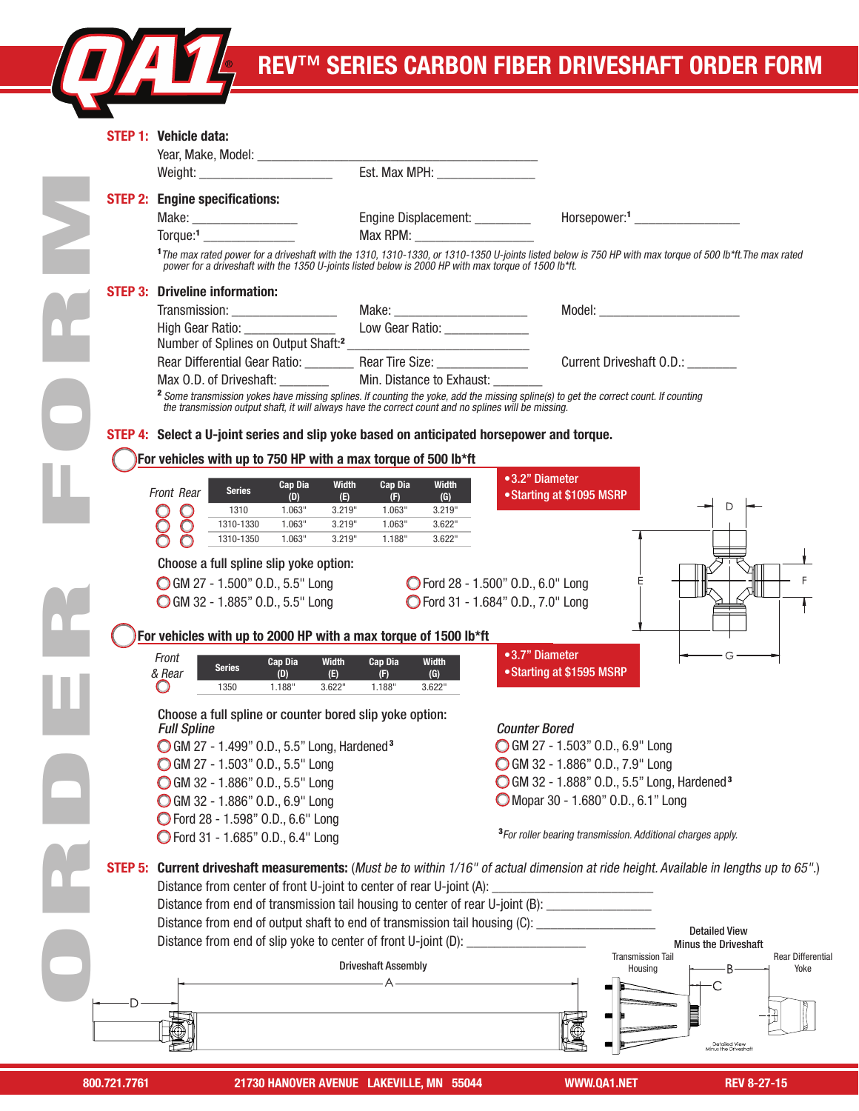# KEN™ SERIES CARBON FIBER DRIVESHAFT ORDER FORM

|                            | STEP 1: Vehicle data:                                                                                                                                                                                                                                                                                                              |                                 |                                                                                                                                                                      |  |  |
|----------------------------|------------------------------------------------------------------------------------------------------------------------------------------------------------------------------------------------------------------------------------------------------------------------------------------------------------------------------------|---------------------------------|----------------------------------------------------------------------------------------------------------------------------------------------------------------------|--|--|
|                            |                                                                                                                                                                                                                                                                                                                                    |                                 |                                                                                                                                                                      |  |  |
|                            |                                                                                                                                                                                                                                                                                                                                    |                                 |                                                                                                                                                                      |  |  |
|                            | <b>STEP 2: Engine specifications:</b>                                                                                                                                                                                                                                                                                              |                                 |                                                                                                                                                                      |  |  |
| Make: ____________________ |                                                                                                                                                                                                                                                                                                                                    | Engine Displacement: _________  | Horsepower: <sup>1</sup> ______________________                                                                                                                      |  |  |
|                            | Torque: <sup>1</sup>                                                                                                                                                                                                                                                                                                               |                                 |                                                                                                                                                                      |  |  |
|                            | power for a driveshaft with the 1350 U-joints listed below is 2000 HP with max torque of 1500 lb*ft.                                                                                                                                                                                                                               |                                 | <sup>1</sup> The max rated power for a driveshaft with the 1310, 1310-1330, or 1310-1350 U-joints listed below is 750 HP with max torque of 500 lb*ft. The max rated |  |  |
|                            | <b>STEP 3: Driveline information:</b>                                                                                                                                                                                                                                                                                              |                                 |                                                                                                                                                                      |  |  |
|                            | Transmission: ___________________                                                                                                                                                                                                                                                                                                  | Make: _________________________ |                                                                                                                                                                      |  |  |
|                            | High Gear Ratio: ________________                                                                                                                                                                                                                                                                                                  | Low Gear Ratio: _____________   |                                                                                                                                                                      |  |  |
|                            |                                                                                                                                                                                                                                                                                                                                    |                                 |                                                                                                                                                                      |  |  |
|                            |                                                                                                                                                                                                                                                                                                                                    |                                 | Current Driveshaft O.D.:                                                                                                                                             |  |  |
|                            | Max 0.D. of Driveshaft: __________ Min. Distance to Exhaust:                                                                                                                                                                                                                                                                       |                                 |                                                                                                                                                                      |  |  |
|                            | the transmission output shaft, it will always have the correct count and no splines will be missing.                                                                                                                                                                                                                               |                                 | <sup>2</sup> Some transmission yokes have missing splines. If counting the yoke, add the missing spline(s) to get the correct count. If counting                     |  |  |
|                            | STEP 4: Select a U-joint series and slip yoke based on anticipated horsepower and torque.                                                                                                                                                                                                                                          |                                 |                                                                                                                                                                      |  |  |
|                            |                                                                                                                                                                                                                                                                                                                                    |                                 |                                                                                                                                                                      |  |  |
|                            | For vehicles with up to 750 HP with a max torque of 500 lb*ft                                                                                                                                                                                                                                                                      |                                 |                                                                                                                                                                      |  |  |
|                            | <b>Width</b><br>Cap Dia<br><b>Series</b><br>Front Rear                                                                                                                                                                                                                                                                             | Cap Dia<br><b>Width</b>         | •3.2" Diameter<br>• Starting at \$1095 MSRP                                                                                                                          |  |  |
|                            | (D)<br>(E)<br>1.063"<br>3.219"<br>1310                                                                                                                                                                                                                                                                                             | (F)<br>(G)<br>1.063"<br>3.219"  |                                                                                                                                                                      |  |  |
|                            | 1310-1330<br>1.063"<br>3.219"<br>C                                                                                                                                                                                                                                                                                                 | 1.063"<br>3.622"                |                                                                                                                                                                      |  |  |
|                            | 1.063"<br>1310-1350<br>3.219"                                                                                                                                                                                                                                                                                                      | 1.188"<br>3.622"                |                                                                                                                                                                      |  |  |
|                            | Choose a full spline slip yoke option:                                                                                                                                                                                                                                                                                             |                                 |                                                                                                                                                                      |  |  |
|                            | GM 27 - 1.500" O.D., 5.5" Long                                                                                                                                                                                                                                                                                                     |                                 | ◯ Ford 28 - 1.500" O.D., 6.0" Long                                                                                                                                   |  |  |
|                            | GM 32 - 1.885" O.D., 5.5" Long                                                                                                                                                                                                                                                                                                     |                                 | ◯ Ford 31 - 1.684" 0.D., 7.0" Long                                                                                                                                   |  |  |
|                            |                                                                                                                                                                                                                                                                                                                                    |                                 |                                                                                                                                                                      |  |  |
|                            | For vehicles with up to 2000 HP with a max torque of 1500 lb*ft                                                                                                                                                                                                                                                                    |                                 |                                                                                                                                                                      |  |  |
|                            | Front<br><b>Cap Dia</b><br><b>Width</b>                                                                                                                                                                                                                                                                                            | <b>Width</b><br><b>Cap Dia</b>  | •3.7" Diameter                                                                                                                                                       |  |  |
|                            | <b>Series</b><br>& Rear<br>(E)<br>(D)                                                                                                                                                                                                                                                                                              | (G)<br>(F)                      | • Starting at \$1595 MSRP                                                                                                                                            |  |  |
|                            | 1.188"<br>3.622"<br>1350<br>ω                                                                                                                                                                                                                                                                                                      | 3.622"<br>1.188"                |                                                                                                                                                                      |  |  |
|                            | Choose a full spline or counter bored slip yoke option:                                                                                                                                                                                                                                                                            |                                 |                                                                                                                                                                      |  |  |
|                            | <b>Full Spline</b>                                                                                                                                                                                                                                                                                                                 |                                 | <b>Counter Bored</b>                                                                                                                                                 |  |  |
|                            | ◯ GM 27 - 1.499" 0.D., 5.5" Long, Hardened <sup>3</sup>                                                                                                                                                                                                                                                                            |                                 | GM 27 - 1.503" O.D., 6.9" Long                                                                                                                                       |  |  |
|                            | GM 27 - 1.503" O.D., 5.5" Long                                                                                                                                                                                                                                                                                                     |                                 | GM 32 - 1.886" O.D., 7.9" Long                                                                                                                                       |  |  |
|                            | GM 32 - 1.886" O.D., 5.5" Long                                                                                                                                                                                                                                                                                                     |                                 | GM 32 - 1.888" O.D., 5.5" Long, Hardened <sup>3</sup>                                                                                                                |  |  |
|                            | GM 32 - 1.886" O.D., 6.9" Long                                                                                                                                                                                                                                                                                                     |                                 | Mopar 30 - 1.680" O.D., 6.1" Long                                                                                                                                    |  |  |
|                            | ◯ Ford 28 - 1.598" O.D., 6.6" Long<br>◯ Ford 31 - 1.685" 0.D., 6.4" Long                                                                                                                                                                                                                                                           |                                 | <sup>3</sup> For roller bearing transmission. Additional charges apply.                                                                                              |  |  |
|                            |                                                                                                                                                                                                                                                                                                                                    |                                 |                                                                                                                                                                      |  |  |
| STEP 5:                    |                                                                                                                                                                                                                                                                                                                                    |                                 | <b>Current driveshaft measurements:</b> (Must be to within 1/16" of actual dimension at ride height. Available in lengths up to 65".)                                |  |  |
|                            | Distance from center of front U-joint to center of rear U-joint (A):<br><u> 1980 - Johann Barbara, martin d</u><br>Distance from end of transmission tail housing to center of rear U-joint (B): ______________<br>Distance from end of output shaft to end of transmission tail housing (C): ____________<br><b>Detailed View</b> |                                 |                                                                                                                                                                      |  |  |
|                            |                                                                                                                                                                                                                                                                                                                                    |                                 |                                                                                                                                                                      |  |  |
|                            |                                                                                                                                                                                                                                                                                                                                    |                                 |                                                                                                                                                                      |  |  |
|                            | Distance from end of slip yoke to center of front U-joint (D): _                                                                                                                                                                                                                                                                   |                                 | <b>Minus the Driveshaft</b>                                                                                                                                          |  |  |
|                            |                                                                                                                                                                                                                                                                                                                                    | <b>Driveshaft Assembly</b>      | <b>Transmission Tail</b><br><b>Rear Differential</b><br>Housing<br>В<br>Yoke                                                                                         |  |  |
|                            |                                                                                                                                                                                                                                                                                                                                    |                                 |                                                                                                                                                                      |  |  |
| D                          |                                                                                                                                                                                                                                                                                                                                    |                                 |                                                                                                                                                                      |  |  |
|                            |                                                                                                                                                                                                                                                                                                                                    |                                 |                                                                                                                                                                      |  |  |
|                            |                                                                                                                                                                                                                                                                                                                                    |                                 | Detailed View<br>Minus the Driveshaft                                                                                                                                |  |  |
|                            |                                                                                                                                                                                                                                                                                                                                    |                                 |                                                                                                                                                                      |  |  |

1310

REV 8-27-15